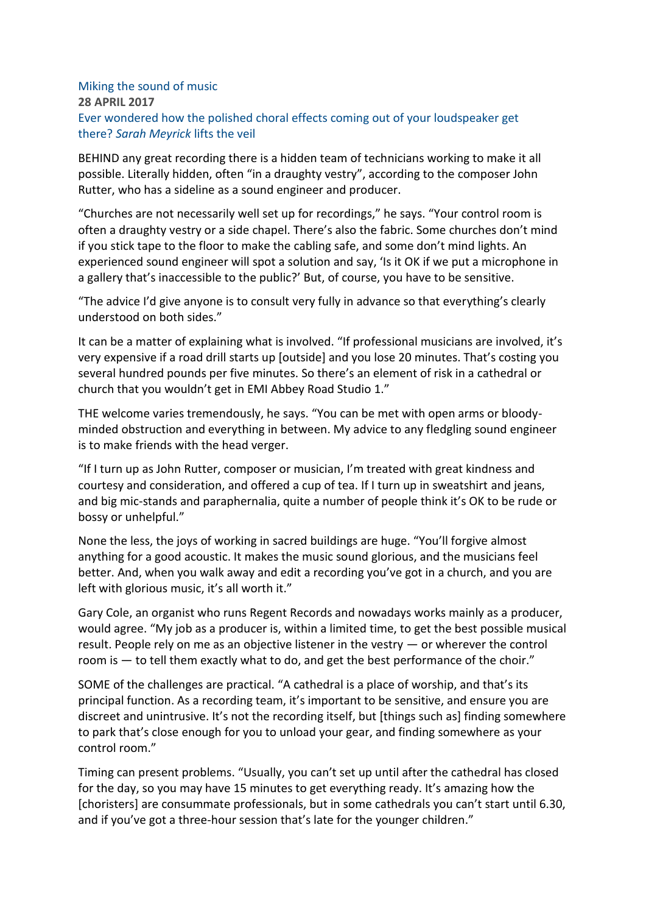## Miking the sound of music **28 APRIL 2017** Ever wondered how the polished choral effects coming out of your loudspeaker get there? *Sarah Meyrick* lifts the veil

BEHIND any great recording there is a hidden team of technicians working to make it all possible. Literally hidden, often "in a draughty vestry", according to the composer John Rutter, who has a sideline as a sound engineer and producer.

"Churches are not necessarily well set up for recordings," he says. "Your control room is often a draughty vestry or a side chapel. There's also the fabric. Some churches don't mind if you stick tape to the floor to make the cabling safe, and some don't mind lights. An experienced sound engineer will spot a solution and say, 'Is it OK if we put a microphone in a gallery that's inaccessible to the public?' But, of course, you have to be sensitive.

"The advice I'd give anyone is to consult very fully in advance so that everything's clearly understood on both sides."

It can be a matter of explaining what is involved. "If professional musicians are involved, it's very expensive if a road drill starts up [outside] and you lose 20 minutes. That's costing you several hundred pounds per five minutes. So there's an element of risk in a cathedral or church that you wouldn't get in EMI Abbey Road Studio 1."

THE welcome varies tremendously, he says. "You can be met with open arms or bloodyminded obstruction and everything in between. My advice to any fledgling sound engineer is to make friends with the head verger.

"If I turn up as John Rutter, composer or musician, I'm treated with great kindness and courtesy and consideration, and offered a cup of tea. If I turn up in sweatshirt and jeans, and big mic-stands and paraphernalia, quite a number of people think it's OK to be rude or bossy or unhelpful."

None the less, the joys of working in sacred buildings are huge. "You'll forgive almost anything for a good acoustic. It makes the music sound glorious, and the musicians feel better. And, when you walk away and edit a recording you've got in a church, and you are left with glorious music, it's all worth it."

Gary Cole, an organist who runs Regent Records and nowadays works mainly as a producer, would agree. "My job as a producer is, within a limited time, to get the best possible musical result. People rely on me as an objective listener in the vestry — or wherever the control room is — to tell them exactly what to do, and get the best performance of the choir."

SOME of the challenges are practical. "A cathedral is a place of worship, and that's its principal function. As a recording team, it's important to be sensitive, and ensure you are discreet and unintrusive. It's not the recording itself, but [things such as] finding somewhere to park that's close enough for you to unload your gear, and finding somewhere as your control room."

Timing can present problems. "Usually, you can't set up until after the cathedral has closed for the day, so you may have 15 minutes to get everything ready. It's amazing how the [choristers] are consummate professionals, but in some cathedrals you can't start until 6.30, and if you've got a three-hour session that's late for the younger children."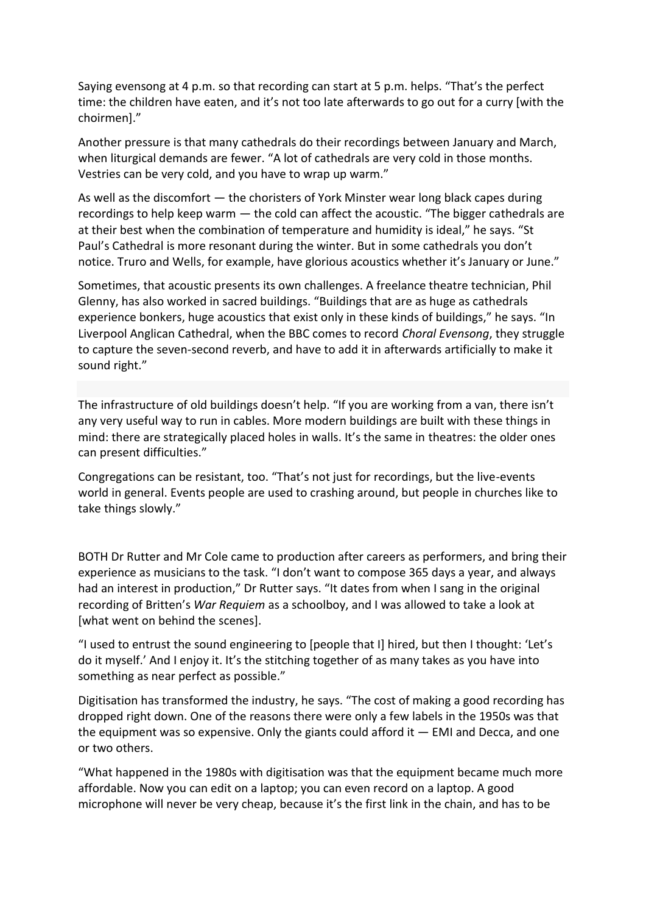Saying evensong at 4 p.m. so that recording can start at 5 p.m. helps. "That's the perfect time: the children have eaten, and it's not too late afterwards to go out for a curry [with the choirmen]."

Another pressure is that many cathedrals do their recordings between January and March, when liturgical demands are fewer. "A lot of cathedrals are very cold in those months. Vestries can be very cold, and you have to wrap up warm."

As well as the discomfort — the choristers of York Minster wear long black capes during recordings to help keep warm — the cold can affect the acoustic. "The bigger cathedrals are at their best when the combination of temperature and humidity is ideal," he says. "St Paul's Cathedral is more resonant during the winter. But in some cathedrals you don't notice. Truro and Wells, for example, have glorious acoustics whether it's January or June."

Sometimes, that acoustic presents its own challenges. A freelance theatre technician, Phil Glenny, has also worked in sacred buildings. "Buildings that are as huge as cathedrals experience bonkers, huge acoustics that exist only in these kinds of buildings," he says. "In Liverpool Anglican Cathedral, when the BBC comes to record *Choral Evensong*, they struggle to capture the seven-second reverb, and have to add it in afterwards artificially to make it sound right."

The infrastructure of old buildings doesn't help. "If you are working from a van, there isn't any very useful way to run in cables. More modern buildings are built with these things in mind: there are strategically placed holes in walls. It's the same in theatres: the older ones can present difficulties."

Congregations can be resistant, too. "That's not just for recordings, but the live-events world in general. Events people are used to crashing around, but people in churches like to take things slowly."

BOTH Dr Rutter and Mr Cole came to production after careers as performers, and bring their experience as musicians to the task. "I don't want to compose 365 days a year, and always had an interest in production," Dr Rutter says. "It dates from when I sang in the original recording of Britten's *War Requiem* as a schoolboy, and I was allowed to take a look at [what went on behind the scenes].

"I used to entrust the sound engineering to [people that I] hired, but then I thought: 'Let's do it myself.' And I enjoy it. It's the stitching together of as many takes as you have into something as near perfect as possible."

Digitisation has transformed the industry, he says. "The cost of making a good recording has dropped right down. One of the reasons there were only a few labels in the 1950s was that the equipment was so expensive. Only the giants could afford it  $-$  EMI and Decca, and one or two others.

"What happened in the 1980s with digitisation was that the equipment became much more affordable. Now you can edit on a laptop; you can even record on a laptop. A good microphone will never be very cheap, because it's the first link in the chain, and has to be